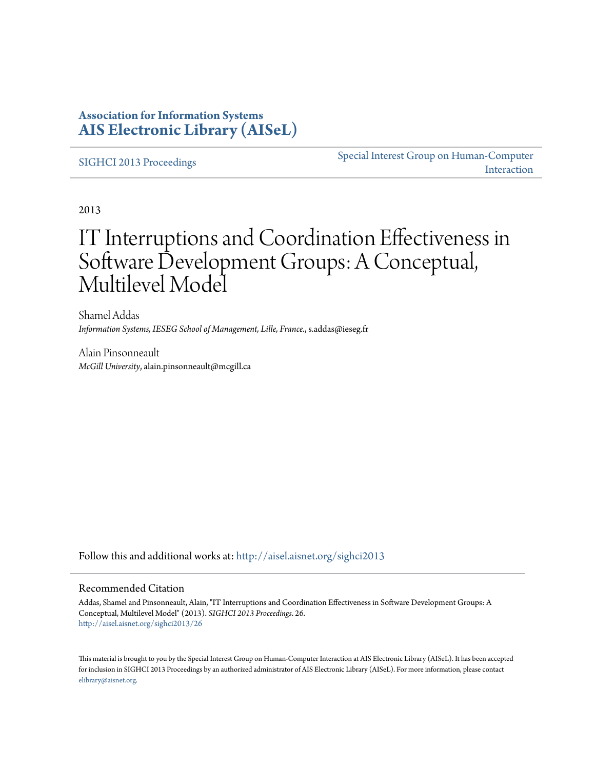### **Association for Information Systems [AIS Electronic Library \(AISeL\)](http://aisel.aisnet.org?utm_source=aisel.aisnet.org%2Fsighci2013%2F26&utm_medium=PDF&utm_campaign=PDFCoverPages)**

[SIGHCI 2013 Proceedings](http://aisel.aisnet.org/sighci2013?utm_source=aisel.aisnet.org%2Fsighci2013%2F26&utm_medium=PDF&utm_campaign=PDFCoverPages)

[Special Interest Group on Human-Computer](http://aisel.aisnet.org/sighci?utm_source=aisel.aisnet.org%2Fsighci2013%2F26&utm_medium=PDF&utm_campaign=PDFCoverPages) [Interaction](http://aisel.aisnet.org/sighci?utm_source=aisel.aisnet.org%2Fsighci2013%2F26&utm_medium=PDF&utm_campaign=PDFCoverPages)

2013

# IT Interruptions and Coordination Effectiveness in Software Development Groups: A Conceptual, Multilevel Model

Shamel Addas *Information Systems, IESEG School of Management, Lille, France.*, s.addas@ieseg.fr

Alain Pinsonneault *McGill University*, alain.pinsonneault@mcgill.ca

Follow this and additional works at: [http://aisel.aisnet.org/sighci2013](http://aisel.aisnet.org/sighci2013?utm_source=aisel.aisnet.org%2Fsighci2013%2F26&utm_medium=PDF&utm_campaign=PDFCoverPages)

#### Recommended Citation

Addas, Shamel and Pinsonneault, Alain, "IT Interruptions and Coordination Effectiveness in Software Development Groups: A Conceptual, Multilevel Model" (2013). *SIGHCI 2013 Proceedings*. 26. [http://aisel.aisnet.org/sighci2013/26](http://aisel.aisnet.org/sighci2013/26?utm_source=aisel.aisnet.org%2Fsighci2013%2F26&utm_medium=PDF&utm_campaign=PDFCoverPages)

This material is brought to you by the Special Interest Group on Human-Computer Interaction at AIS Electronic Library (AISeL). It has been accepted for inclusion in SIGHCI 2013 Proceedings by an authorized administrator of AIS Electronic Library (AISeL). For more information, please contact [elibrary@aisnet.org.](mailto:elibrary@aisnet.org%3E)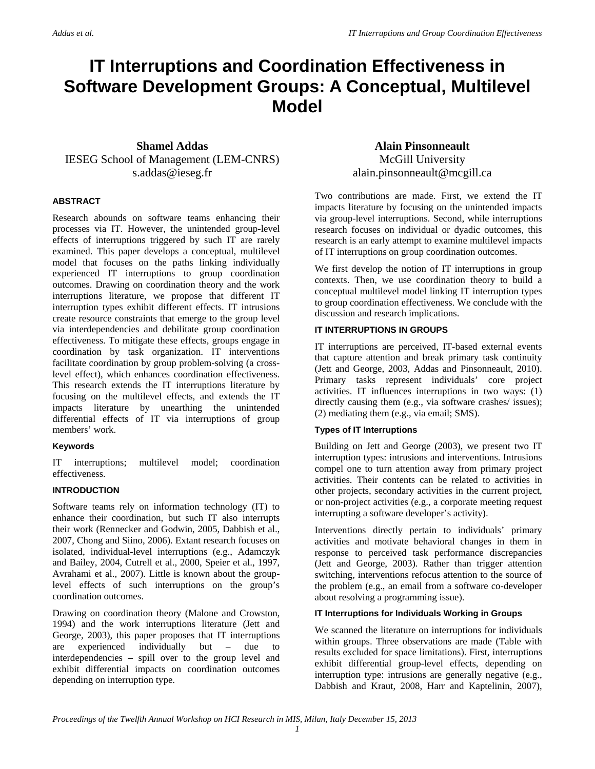## **IT Interruptions and Coordination Effectiveness in Software Development Groups: A Conceptual, Multilevel Model**

#### **Shamel Addas**  IESEG School of Management (LEM-CNRS) s.addas@ieseg.fr

#### **ABSTRACT**

Research abounds on software teams enhancing their processes via IT. However, the unintended group-level effects of interruptions triggered by such IT are rarely examined. This paper develops a conceptual, multilevel model that focuses on the paths linking individually experienced IT interruptions to group coordination outcomes. Drawing on coordination theory and the work interruptions literature, we propose that different IT interruption types exhibit different effects. IT intrusions create resource constraints that emerge to the group level via interdependencies and debilitate group coordination effectiveness. To mitigate these effects, groups engage in coordination by task organization. IT interventions facilitate coordination by group problem-solving (a crosslevel effect), which enhances coordination effectiveness. This research extends the IT interruptions literature by focusing on the multilevel effects, and extends the IT impacts literature by unearthing the unintended differential effects of IT via interruptions of group members' work.

#### **Keywords**

IT interruptions; multilevel model; coordination effectiveness.

#### **INTRODUCTION**

Software teams rely on information technology (IT) to enhance their coordination, but such IT also interrupts their work (Rennecker and Godwin, 2005, Dabbish et al., 2007, Chong and Siino, 2006). Extant research focuses on isolated, individual-level interruptions (e.g., Adamczyk and Bailey, 2004, Cutrell et al., 2000, Speier et al., 1997, Avrahami et al., 2007). Little is known about the grouplevel effects of such interruptions on the group's coordination outcomes.

Drawing on coordination theory (Malone and Crowston, 1994) and the work interruptions literature (Jett and George, 2003), this paper proposes that IT interruptions are experienced individually but – due to interdependencies – spill over to the group level and exhibit differential impacts on coordination outcomes depending on interruption type.

**Alain Pinsonneault**  McGill University alain.pinsonneault@mcgill.ca

Two contributions are made. First, we extend the IT impacts literature by focusing on the unintended impacts via group-level interruptions. Second, while interruptions research focuses on individual or dyadic outcomes, this research is an early attempt to examine multilevel impacts of IT interruptions on group coordination outcomes.

We first develop the notion of IT interruptions in group contexts. Then, we use coordination theory to build a conceptual multilevel model linking IT interruption types to group coordination effectiveness. We conclude with the discussion and research implications.

#### **IT INTERRUPTIONS IN GROUPS**

IT interruptions are perceived, IT-based external events that capture attention and break primary task continuity (Jett and George, 2003, Addas and Pinsonneault, 2010). Primary tasks represent individuals' core project activities. IT influences interruptions in two ways: (1) directly causing them (e.g., via software crashes/ issues); (2) mediating them (e.g., via email; SMS).

#### **Types of IT Interruptions**

Building on Jett and George (2003), we present two IT interruption types: intrusions and interventions. Intrusions compel one to turn attention away from primary project activities. Their contents can be related to activities in other projects, secondary activities in the current project, or non-project activities (e.g., a corporate meeting request interrupting a software developer's activity).

Interventions directly pertain to individuals' primary activities and motivate behavioral changes in them in response to perceived task performance discrepancies (Jett and George, 2003). Rather than trigger attention switching, interventions refocus attention to the source of the problem (e.g., an email from a software co-developer about resolving a programming issue).

#### **IT Interruptions for Individuals Working in Groups**

We scanned the literature on interruptions for individuals within groups. Three observations are made (Table with results excluded for space limitations). First, interruptions exhibit differential group-level effects, depending on interruption type: intrusions are generally negative (e.g., Dabbish and Kraut, 2008, Harr and Kaptelinin, 2007),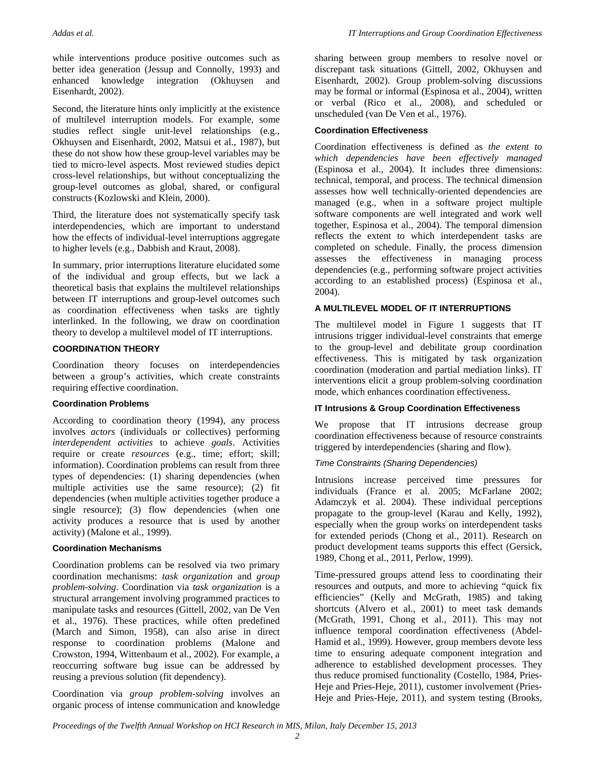while interventions produce positive outcomes such as better idea generation (Jessup and Connolly, 1993) and enhanced knowledge integration (Okhuysen and Eisenhardt, 2002).

Second, the literature hints only implicitly at the existence of multilevel interruption models. For example, some studies reflect single unit-level relationships (e.g., Okhuysen and Eisenhardt, 2002, Matsui et al., 1987), but these do not show how these group-level variables may be tied to micro-level aspects. Most reviewed studies depict cross-level relationships, but without conceptualizing the group-level outcomes as global, shared, or configural constructs (Kozlowski and Klein, 2000).

Third, the literature does not systematically specify task interdependencies, which are important to understand how the effects of individual-level interruptions aggregate to higher levels (e.g., Dabbish and Kraut, 2008).

In summary, prior interruptions literature elucidated some of the individual and group effects, but we lack a theoretical basis that explains the multilevel relationships between IT interruptions and group-level outcomes such as coordination effectiveness when tasks are tightly interlinked. In the following, we draw on coordination theory to develop a multilevel model of IT interruptions.

#### **COORDINATION THEORY**

Coordination theory focuses on interdependencies between a group's activities, which create constraints requiring effective coordination.

#### **Coordination Problems**

According to coordination theory (1994), any process involves *actors* (individuals or collectives) performing *interdependent activities* to achieve *goals*. Activities require or create *resources* (e.g., time; effort; skill; information). Coordination problems can result from three types of dependencies: (1) sharing dependencies (when multiple activities use the same resource); (2) fit dependencies (when multiple activities together produce a single resource); (3) flow dependencies (when one activity produces a resource that is used by another activity) (Malone et al., 1999).

#### **Coordination Mechanisms**

Coordination problems can be resolved via two primary coordination mechanisms: *task organization* and *group problem-solving*. Coordination via *task organization* is a structural arrangement involving programmed practices to manipulate tasks and resources (Gittell, 2002, van De Ven et al., 1976). These practices, while often predefined (March and Simon, 1958), can also arise in direct response to coordination problems (Malone and Crowston, 1994, Wittenbaum et al., 2002). For example, a reoccurring software bug issue can be addressed by reusing a previous solution (fit dependency).

Coordination via *group problem-solving* involves an organic process of intense communication and knowledge

sharing between group members to resolve novel or discrepant task situations (Gittell, 2002, Okhuysen and Eisenhardt, 2002). Group problem-solving discussions may be formal or informal (Espinosa et al., 2004), written or verbal (Rico et al., 2008), and scheduled or unscheduled (van De Ven et al., 1976).

#### **Coordination Effectiveness**

Coordination effectiveness is defined as *the extent to which dependencies have been effectively managed* (Espinosa et al., 2004). It includes three dimensions: technical, temporal, and process. The technical dimension assesses how well technically-oriented dependencies are managed (e.g., when in a software project multiple software components are well integrated and work well together, Espinosa et al., 2004). The temporal dimension reflects the extent to which interdependent tasks are completed on schedule. Finally, the process dimension assesses the effectiveness in managing process dependencies (e.g., performing software project activities according to an established process) (Espinosa et al., 2004).

#### **A MULTILEVEL MODEL OF IT INTERRUPTIONS**

The multilevel model in Figure 1 suggests that IT intrusions trigger individual-level constraints that emerge to the group-level and debilitate group coordination effectiveness. This is mitigated by task organization coordination (moderation and partial mediation links). IT interventions elicit a group problem-solving coordination mode, which enhances coordination effectiveness.

#### **IT Intrusions & Group Coordination Effectiveness**

We propose that IT intrusions decrease group coordination effectiveness because of resource constraints triggered by interdependencies (sharing and flow).

#### *Time Constraints (Sharing Dependencies)*

Intrusions increase perceived time pressures for individuals (France et al. 2005; McFarlane 2002; Adamczyk et al. 2004). These individual perceptions propagate to the group-level (Karau and Kelly, 1992), especially when the group works on interdependent tasks for extended periods (Chong et al., 2011). Research on product development teams supports this effect (Gersick, 1989, Chong et al., 2011, Perlow, 1999).

Time-pressured groups attend less to coordinating their resources and outputs, and more to achieving "quick fix efficiencies" (Kelly and McGrath, 1985) and taking shortcuts (Alvero et al., 2001) to meet task demands (McGrath, 1991, Chong et al., 2011). This may not influence temporal coordination effectiveness (Abdel-Hamid et al., 1999). However, group members devote less time to ensuring adequate component integration and adherence to established development processes. They thus reduce promised functionality (Costello, 1984, Pries-Heje and Pries-Heje, 2011), customer involvement (Pries-Heje and Pries-Heje, 2011), and system testing (Brooks,

*Proceedings of the Twelfth Annual Workshop on HCI Research in MIS, Milan, Italy December 15, 2013 2*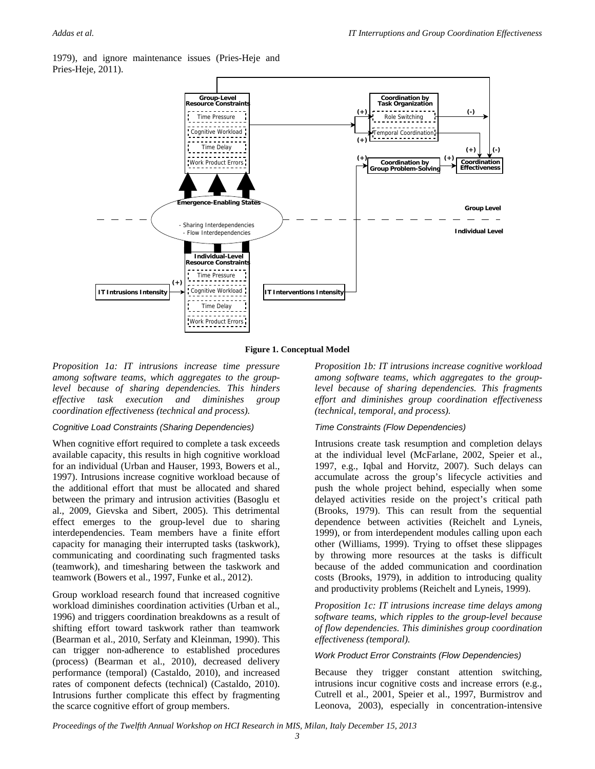1979), and ignore maintenance issues (Pries-Heje and Pries-Heje, 2011).



**Figure 1. Conceptual Model**

*Proposition 1a: IT intrusions increase time pressure among software teams, which aggregates to the grouplevel because of sharing dependencies. This hinders effective task execution and diminishes group coordination effectiveness (technical and process).* 

#### *Cognitive Load Constraints (Sharing Dependencies)*

When cognitive effort required to complete a task exceeds available capacity, this results in high cognitive workload for an individual (Urban and Hauser, 1993, Bowers et al., 1997). Intrusions increase cognitive workload because of the additional effort that must be allocated and shared between the primary and intrusion activities (Basoglu et al., 2009, Gievska and Sibert, 2005). This detrimental effect emerges to the group-level due to sharing interdependencies. Team members have a finite effort capacity for managing their interrupted tasks (taskwork), communicating and coordinating such fragmented tasks (teamwork), and timesharing between the taskwork and teamwork (Bowers et al., 1997, Funke et al., 2012).

Group workload research found that increased cognitive workload diminishes coordination activities (Urban et al., 1996) and triggers coordination breakdowns as a result of shifting effort toward taskwork rather than teamwork (Bearman et al., 2010, Serfaty and Kleinman, 1990). This can trigger non-adherence to established procedures (process) (Bearman et al., 2010), decreased delivery performance (temporal) (Castaldo, 2010), and increased rates of component defects (technical) (Castaldo, 2010). Intrusions further complicate this effect by fragmenting the scarce cognitive effort of group members.

*Proposition 1b: IT intrusions increase cognitive workload among software teams, which aggregates to the grouplevel because of sharing dependencies. This fragments effort and diminishes group coordination effectiveness (technical, temporal, and process).* 

#### *Time Constraints (Flow Dependencies)*

Intrusions create task resumption and completion delays at the individual level (McFarlane, 2002, Speier et al., 1997, e.g., Iqbal and Horvitz, 2007). Such delays can accumulate across the group's lifecycle activities and push the whole project behind, especially when some delayed activities reside on the project's critical path (Brooks, 1979). This can result from the sequential dependence between activities (Reichelt and Lyneis, 1999), or from interdependent modules calling upon each other (Williams, 1999). Trying to offset these slippages by throwing more resources at the tasks is difficult because of the added communication and coordination costs (Brooks, 1979), in addition to introducing quality and productivity problems (Reichelt and Lyneis, 1999).

*Proposition 1c: IT intrusions increase time delays among software teams, which ripples to the group-level because of flow dependencies. This diminishes group coordination effectiveness (temporal).* 

#### *Work Product Error Constraints (Flow Dependencies)*

Because they trigger constant attention switching, intrusions incur cognitive costs and increase errors (e.g., Cutrell et al., 2001, Speier et al., 1997, Burmistrov and Leonova, 2003), especially in concentration-intensive

*Proceedings of the Twelfth Annual Workshop on HCI Research in MIS, Milan, Italy December 15, 2013*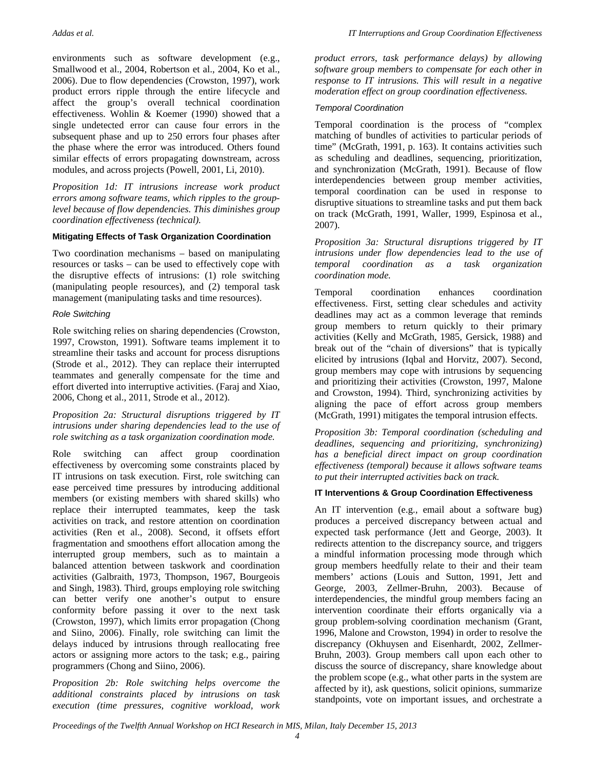environments such as software development (e.g., Smallwood et al., 2004, Robertson et al., 2004, Ko et al., 2006). Due to flow dependencies (Crowston, 1997), work product errors ripple through the entire lifecycle and affect the group's overall technical coordination effectiveness. Wohlin & Koemer (1990) showed that a single undetected error can cause four errors in the subsequent phase and up to 250 errors four phases after the phase where the error was introduced. Others found similar effects of errors propagating downstream, across modules, and across projects (Powell, 2001, Li, 2010).

*Proposition 1d: IT intrusions increase work product errors among software teams, which ripples to the grouplevel because of flow dependencies. This diminishes group coordination effectiveness (technical).* 

#### **Mitigating Effects of Task Organization Coordination**

Two coordination mechanisms – based on manipulating resources or tasks – can be used to effectively cope with the disruptive effects of intrusions: (1) role switching (manipulating people resources), and (2) temporal task management (manipulating tasks and time resources).

#### *Role Switching*

Role switching relies on sharing dependencies (Crowston, 1997, Crowston, 1991). Software teams implement it to streamline their tasks and account for process disruptions (Strode et al., 2012). They can replace their interrupted teammates and generally compensate for the time and effort diverted into interruptive activities. (Faraj and Xiao, 2006, Chong et al., 2011, Strode et al., 2012).

*Proposition 2a: Structural disruptions triggered by IT intrusions under sharing dependencies lead to the use of role switching as a task organization coordination mode.* 

Role switching can affect group coordination effectiveness by overcoming some constraints placed by IT intrusions on task execution. First, role switching can ease perceived time pressures by introducing additional members (or existing members with shared skills) who replace their interrupted teammates, keep the task activities on track, and restore attention on coordination activities (Ren et al., 2008). Second, it offsets effort fragmentation and smoothens effort allocation among the interrupted group members, such as to maintain a balanced attention between taskwork and coordination activities (Galbraith, 1973, Thompson, 1967, Bourgeois and Singh, 1983). Third, groups employing role switching can better verify one another's output to ensure conformity before passing it over to the next task (Crowston, 1997), which limits error propagation (Chong and Siino, 2006). Finally, role switching can limit the delays induced by intrusions through reallocating free actors or assigning more actors to the task; e.g., pairing programmers (Chong and Siino, 2006).

*Proposition 2b: Role switching helps overcome the additional constraints placed by intrusions on task execution (time pressures, cognitive workload, work*  *product errors, task performance delays) by allowing software group members to compensate for each other in response to IT intrusions. This will result in a negative moderation effect on group coordination effectiveness.* 

#### *Temporal Coordination*

Temporal coordination is the process of "complex matching of bundles of activities to particular periods of time" (McGrath, 1991, p. 163). It contains activities such as scheduling and deadlines, sequencing, prioritization, and synchronization (McGrath, 1991). Because of flow interdependencies between group member activities, temporal coordination can be used in response to disruptive situations to streamline tasks and put them back on track (McGrath, 1991, Waller, 1999, Espinosa et al., 2007).

*Proposition 3a: Structural disruptions triggered by IT intrusions under flow dependencies lead to the use of temporal coordination as a task organization coordination mode.* 

Temporal coordination enhances coordination effectiveness. First, setting clear schedules and activity deadlines may act as a common leverage that reminds group members to return quickly to their primary activities (Kelly and McGrath, 1985, Gersick, 1988) and break out of the "chain of diversions" that is typically elicited by intrusions (Iqbal and Horvitz, 2007). Second, group members may cope with intrusions by sequencing and prioritizing their activities (Crowston, 1997, Malone and Crowston, 1994). Third, synchronizing activities by aligning the pace of effort across group members (McGrath, 1991) mitigates the temporal intrusion effects.

*Proposition 3b: Temporal coordination (scheduling and deadlines, sequencing and prioritizing, synchronizing) has a beneficial direct impact on group coordination effectiveness (temporal) because it allows software teams to put their interrupted activities back on track.* 

#### **IT Interventions & Group Coordination Effectiveness**

An IT intervention (e.g., email about a software bug) produces a perceived discrepancy between actual and expected task performance (Jett and George, 2003). It redirects attention to the discrepancy source, and triggers a mindful information processing mode through which group members heedfully relate to their and their team members' actions (Louis and Sutton, 1991, Jett and George, 2003, Zellmer-Bruhn, 2003). Because of interdependencies, the mindful group members facing an intervention coordinate their efforts organically via a group problem-solving coordination mechanism (Grant, 1996, Malone and Crowston, 1994) in order to resolve the discrepancy (Okhuysen and Eisenhardt, 2002, Zellmer-Bruhn, 2003). Group members call upon each other to discuss the source of discrepancy, share knowledge about the problem scope (e.g., what other parts in the system are affected by it), ask questions, solicit opinions, summarize standpoints, vote on important issues, and orchestrate a

*Proceedings of the Twelfth Annual Workshop on HCI Research in MIS, Milan, Italy December 15, 2013*